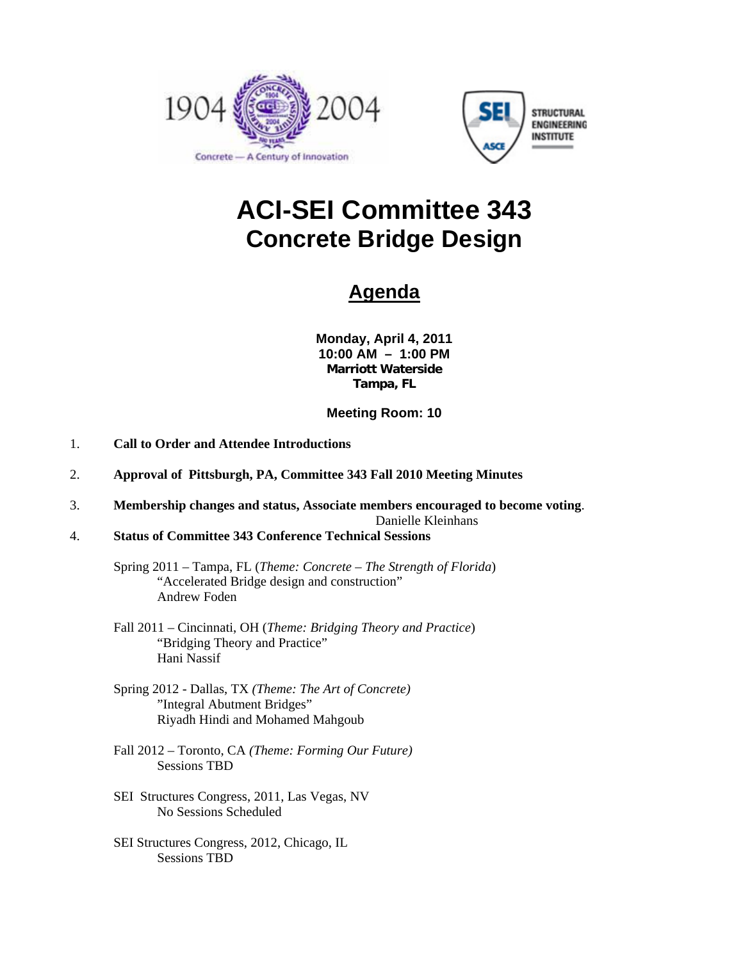



# **ACI-SEI Committee 343 Concrete Bridge Design**

## **Agenda**

**Monday, April 4, 2011 10:00 AM – 1:00 PM Marriott Waterside Tampa, FL** 

**Meeting Room: 10** 

- 1. **Call to Order and Attendee Introductions**
- 2. **Approval of Pittsburgh, PA, Committee 343 Fall 2010 Meeting Minutes**
- 3. **Membership changes and status, Associate members encouraged to become voting**.

Danielle Kleinhans

4. **Status of Committee 343 Conference Technical Sessions**

 Spring 2011 – Tampa, FL (*Theme: Concrete – The Strength of Florida*) "Accelerated Bridge design and construction" Andrew Foden

- Fall 2011 Cincinnati, OH (*Theme: Bridging Theory and Practice*) "Bridging Theory and Practice" Hani Nassif
- Spring 2012 Dallas, TX *(Theme: The Art of Concrete)* "Integral Abutment Bridges" Riyadh Hindi and Mohamed Mahgoub
- Fall 2012 Toronto, CA *(Theme: Forming Our Future)* Sessions TBD
- SEI Structures Congress, 2011, Las Vegas, NV No Sessions Scheduled
- SEI Structures Congress, 2012, Chicago, IL Sessions TBD